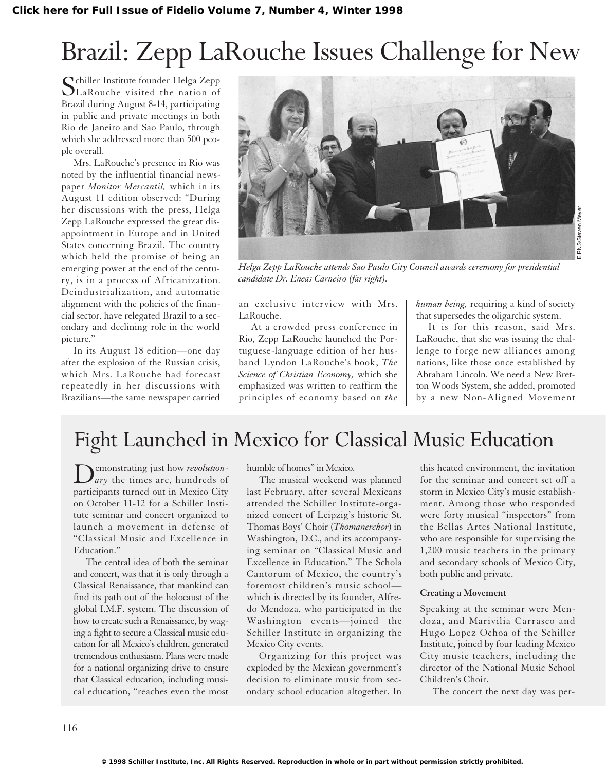# Brazil: Zepp LaRouche Issues Challenge for New

C chiller Institute founder Helga Zepp LaRouche visited the nation of Brazil during August 8-14, participating in public and private meetings in both Rio de Janeiro and Sao Paulo, through which she addressed more than 500 people overall.

Mrs. LaRouche's presence in Rio was noted by the influential financial newspaper *Monitor Mercantil,* which in its August 11 edition observed: "During her discussions with the press, Helga Zepp LaRouche expressed the great disappointment in Europe and in United States concerning Brazil. The country which held the promise of being an emerging power at the end of the century, is in a process of Africanization. Deindustrialization, and automatic alignment with the policies of the financial sector, have relegated Brazil to a secondary and declining role in the world picture."

In its August 18 edition—one day after the explosion of the Russian crisis, which Mrs. LaRouche had forecast repeatedly in her discussions with Brazilians—the same newspaper carried



*Helga Zepp LaRouche attends Sao Paulo City Council awards ceremony for presidential candidate Dr. Eneas Carneiro (far right).*

an exclusive interview with Mrs. LaRouche.

At a crowded press conference in Rio, Zepp LaRouche launched the Portuguese-language edition of her husband Lyndon LaRouche's book, *The Science of Christian Economy,* which she emphasized was written to reaffirm the principles of economy based on *the* *human being,* requiring a kind of society that supersedes the oligarchic system.

It is for this reason, said Mrs. LaRouche, that she was issuing the challenge to forge new alliances among nations, like those once established by Abraham Lincoln. We need a New Bretton Woods System, she added, promoted by a new Non-Aligned Movement

## Fight Launched in Mexico for Classical Music Education

Demonstrating just how *revolutionary* the times are, hundreds of participants turned out in Mexico City on October 11-12 for a Schiller Institute seminar and concert organized to launch a movement in defense of "Classical Music and Excellence in Education."

The central idea of both the seminar and concert, was that it is only through a Classical Renaissance, that mankind can find its path out of the holocaust of the global I.M.F. system. The discussion of how to create such a Renaissance, by waging a fight to secure a Classical music education for all Mexico's children, generated tremendous enthusiasm. Plans were made for a national organizing drive to ensure that Classical education, including musical education, "reaches even the most humble of homes" in Mexico.

The musical weekend was planned last February, after several Mexicans attended the Schiller Institute-organized concert of Leipzig's historic St. Thomas Boys' Choir (*Thomanerchor*) in Washington, D.C., and its accompanying seminar on "Classical Music and Excellence in Education." The Schola Cantorum of Mexico, the country's foremost children's music school which is directed by its founder, Alfredo Mendoza, who participated in the Washington events—joined the Schiller Institute in organizing the Mexico City events.

Organizing for this project was exploded by the Mexican government's decision to eliminate music from secondary school education altogether. In this heated environment, the invitation for the seminar and concert set off a storm in Mexico City's music establishment. Among those who responded were forty musical "inspectors" from the Bellas Artes National Institute, who are responsible for supervising the 1,200 music teachers in the primary and secondary schools of Mexico City, both public and private.

### **Creating a Movement**

Speaking at the seminar were Mendoza, and Marivilia Carrasco and Hugo Lopez Ochoa of the Schiller Institute, joined by four leading Mexico City music teachers, including the director of the National Music School Children's Choir.

The concert the next day was per-